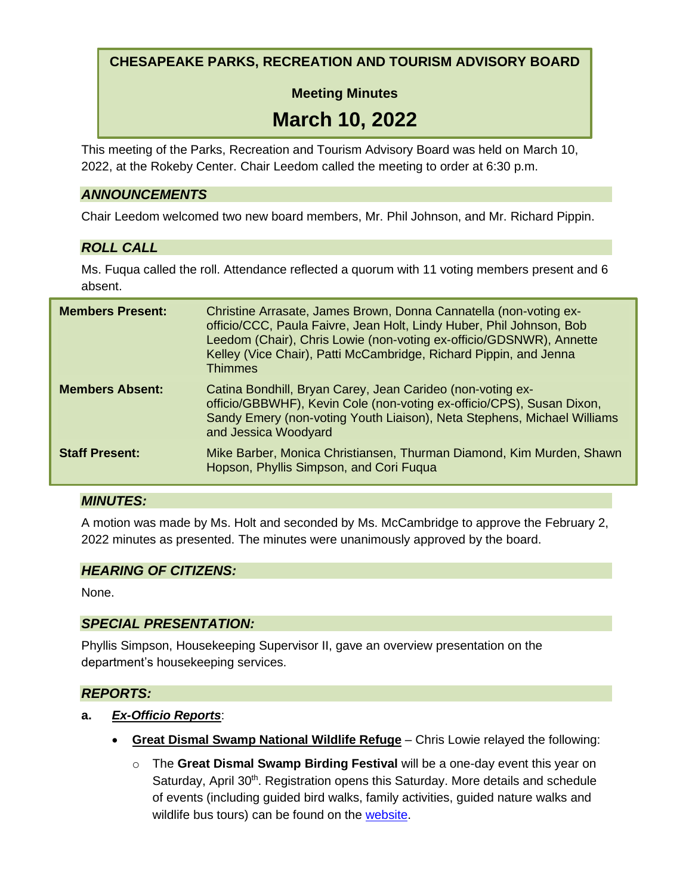# **CHESAPEAKE PARKS, RECREATION AND TOURISM ADVISORY BOARD**

# **Meeting Minutes**

# **March 10, 2022**

This meeting of the Parks, Recreation and Tourism Advisory Board was held on March 10, 2022, at the Rokeby Center. Chair Leedom called the meeting to order at 6:30 p.m.

#### *ANNOUNCEMENTS*

Chair Leedom welcomed two new board members, Mr. Phil Johnson, and Mr. Richard Pippin.

## *ROLL CALL*

Ms. Fuqua called the roll. Attendance reflected a quorum with 11 voting members present and 6 absent.

| <b>Members Present:</b> | Christine Arrasate, James Brown, Donna Cannatella (non-voting ex-<br>officio/CCC, Paula Faivre, Jean Holt, Lindy Huber, Phil Johnson, Bob<br>Leedom (Chair), Chris Lowie (non-voting ex-officio/GDSNWR), Annette<br>Kelley (Vice Chair), Patti McCambridge, Richard Pippin, and Jenna<br><b>Thimmes</b> |
|-------------------------|---------------------------------------------------------------------------------------------------------------------------------------------------------------------------------------------------------------------------------------------------------------------------------------------------------|
| <b>Members Absent:</b>  | Catina Bondhill, Bryan Carey, Jean Carideo (non-voting ex-<br>officio/GBBWHF), Kevin Cole (non-voting ex-officio/CPS), Susan Dixon,<br>Sandy Emery (non-voting Youth Liaison), Neta Stephens, Michael Williams<br>and Jessica Woodyard                                                                  |
| <b>Staff Present:</b>   | Mike Barber, Monica Christiansen, Thurman Diamond, Kim Murden, Shawn<br>Hopson, Phyllis Simpson, and Cori Fuqua                                                                                                                                                                                         |

## *MINUTES:*

A motion was made by Ms. Holt and seconded by Ms. McCambridge to approve the February 2, 2022 minutes as presented. The minutes were unanimously approved by the board.

#### *HEARING OF CITIZENS:*

None.

## *SPECIAL PRESENTATION:*

Phyllis Simpson, Housekeeping Supervisor II, gave an overview presentation on the department's housekeeping services.

## *REPORTS:*

- **a.** *Ex-Officio Reports*:
	- **Great Dismal Swamp National Wildlife Refuge** Chris Lowie relayed the following:
		- o The **Great Dismal Swamp Birding Festival** will be a one-day event this year on Saturday, April 30<sup>th</sup>. Registration opens this Saturday. More details and schedule of events (including guided bird walks, family activities, guided nature walks and wildlife bus tours) can be found on the [website.](https://www.fws.gov/event/great-dismal-swamp-birding-festival)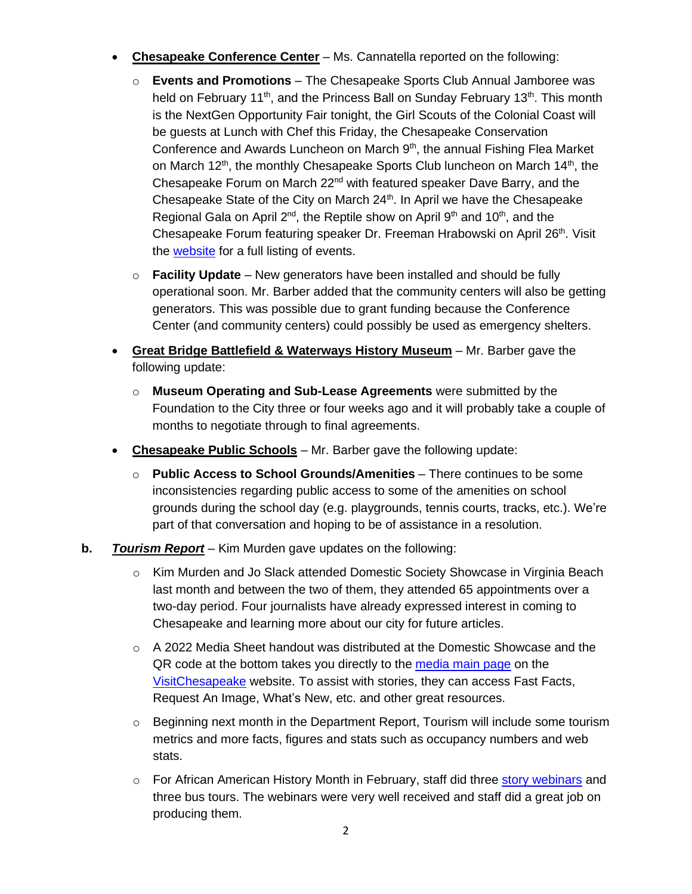- **Chesapeake Conference Center** Ms. Cannatella reported on the following:
	- o **Events and Promotions** The Chesapeake Sports Club Annual Jamboree was held on February 11<sup>th</sup>, and the Princess Ball on Sunday February 13<sup>th</sup>. This month is the NextGen Opportunity Fair tonight, the Girl Scouts of the Colonial Coast will be guests at Lunch with Chef this Friday, the Chesapeake Conservation Conference and Awards Luncheon on March 9<sup>th</sup>, the annual Fishing Flea Market on March 12<sup>th</sup>, the monthly Chesapeake Sports Club luncheon on March 14<sup>th</sup>, the Chesapeake Forum on March 22<sup>nd</sup> with featured speaker Dave Barry, and the Chesapeake State of the City on March 24<sup>th</sup>. In April we have the Chesapeake Regional Gala on April 2<sup>nd</sup>, the Reptile show on April 9<sup>th</sup> and 10<sup>th</sup>, and the Chesapeake Forum featuring speaker Dr. Freeman Hrabowski on April 26<sup>th</sup>. Visit the [website](https://chesapeakeconference.com/events/) for a full listing of events.
	- o **Facility Update** New generators have been installed and should be fully operational soon. Mr. Barber added that the community centers will also be getting generators. This was possible due to grant funding because the Conference Center (and community centers) could possibly be used as emergency shelters.
- **Great Bridge Battlefield & Waterways History Museum** Mr. Barber gave the following update:
	- o **Museum Operating and Sub-Lease Agreements** were submitted by the Foundation to the City three or four weeks ago and it will probably take a couple of months to negotiate through to final agreements.
- **Chesapeake Public Schools** Mr. Barber gave the following update:
	- o **Public Access to School Grounds/Amenities** There continues to be some inconsistencies regarding public access to some of the amenities on school grounds during the school day (e.g. playgrounds, tennis courts, tracks, etc.). We're part of that conversation and hoping to be of assistance in a resolution.
- **b.** *Tourism Report* Kim Murden gave updates on the following:
	- o Kim Murden and Jo Slack attended Domestic Society Showcase in Virginia Beach last month and between the two of them, they attended 65 appointments over a two-day period. Four journalists have already expressed interest in coming to Chesapeake and learning more about our city for future articles.
	- o A 2022 Media Sheet handout was distributed at the Domestic Showcase and the QR code at the bottom takes you directly to the [media main page](https://www.visitchesapeake.com/media/) on the [VisitChesapeake](https://www.visitchesapeake.com/media/) website. To assist with stories, they can access Fast Facts, Request An Image, What's New, etc. and other great resources.
	- $\circ$  Beginning next month in the Department Report, Tourism will include some tourism metrics and more facts, figures and stats such as occupancy numbers and web stats.
	- $\circ$  For African American History Month in February, staff did three [story webinars](https://www.visitchesapeake.com/african-american-history-month/) and three bus tours. The webinars were very well received and staff did a great job on producing them.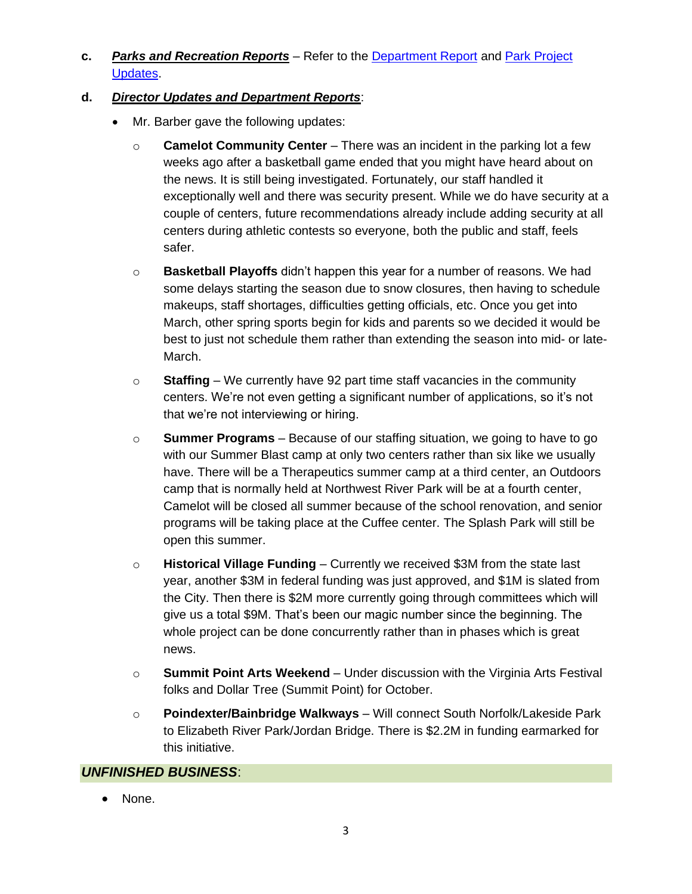**c.** *Parks and Recreation Reports* – Refer to the [Department Report](https://www.cityofchesapeake.net/government/city-departments/departments/parks-recreation-tourism/administration/PRT-Department-Report.htm) and [Park Project](https://www.cityofchesapeake.net/Assets/documents/departments/parks_rec/Project_Updates.pdf) [Updates.](https://www.cityofchesapeake.net/Assets/documents/departments/parks_rec/Project_Updates.pdf)

#### **d.** *Director Updates and Department Reports*:

- Mr. Barber gave the following updates:
	- o **Camelot Community Center** There was an incident in the parking lot a few weeks ago after a basketball game ended that you might have heard about on the news. It is still being investigated. Fortunately, our staff handled it exceptionally well and there was security present. While we do have security at a couple of centers, future recommendations already include adding security at all centers during athletic contests so everyone, both the public and staff, feels safer.
	- o **Basketball Playoffs** didn't happen this year for a number of reasons. We had some delays starting the season due to snow closures, then having to schedule makeups, staff shortages, difficulties getting officials, etc. Once you get into March, other spring sports begin for kids and parents so we decided it would be best to just not schedule them rather than extending the season into mid- or late-March.
	- o **Staffing** We currently have 92 part time staff vacancies in the community centers. We're not even getting a significant number of applications, so it's not that we're not interviewing or hiring.
	- o **Summer Programs** Because of our staffing situation, we going to have to go with our Summer Blast camp at only two centers rather than six like we usually have. There will be a Therapeutics summer camp at a third center, an Outdoors camp that is normally held at Northwest River Park will be at a fourth center, Camelot will be closed all summer because of the school renovation, and senior programs will be taking place at the Cuffee center. The Splash Park will still be open this summer.
	- o **Historical Village Funding** Currently we received \$3M from the state last year, another \$3M in federal funding was just approved, and \$1M is slated from the City. Then there is \$2M more currently going through committees which will give us a total \$9M. That's been our magic number since the beginning. The whole project can be done concurrently rather than in phases which is great news.
	- o **Summit Point Arts Weekend** Under discussion with the Virginia Arts Festival folks and Dollar Tree (Summit Point) for October.
	- o **Poindexter/Bainbridge Walkways** Will connect South Norfolk/Lakeside Park to Elizabeth River Park/Jordan Bridge. There is \$2.2M in funding earmarked for this initiative.

# *UNFINISHED BUSINESS*:

• None.